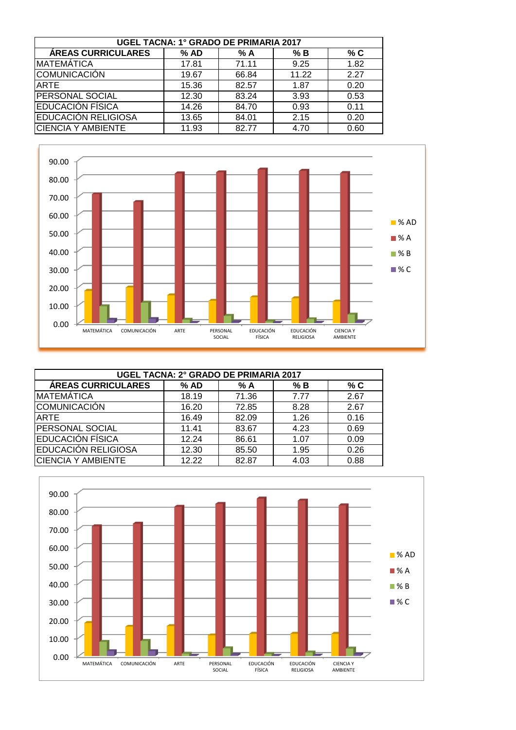| <b>UGEL TACNA: 1° GRADO DE PRIMARIA 2017</b> |        |       |       |      |  |  |  |  |  |
|----------------------------------------------|--------|-------|-------|------|--|--|--|--|--|
| <b>ÁREAS CURRICULARES</b>                    | $%$ AD | % A   | % B   | % C  |  |  |  |  |  |
| <b>MATEMATICA</b>                            | 17.81  | 71.11 | 9.25  | 1.82 |  |  |  |  |  |
| <b>COMUNICACIÓN</b>                          | 19.67  | 66.84 | 11.22 | 2.27 |  |  |  |  |  |
| <b>ARTE</b>                                  | 15.36  | 82.57 | 1.87  | 0.20 |  |  |  |  |  |
| PERSONAL SOCIAL                              | 12.30  | 83.24 | 3.93  | 0.53 |  |  |  |  |  |
| <b>EDUCACIÓN FÍSICA</b>                      | 14.26  | 84.70 | 0.93  | 0.11 |  |  |  |  |  |
| EDUCACIÓN RELIGIOSA                          | 13.65  | 84.01 | 2.15  | 0.20 |  |  |  |  |  |
| <b>CIENCIA Y AMBIENTE</b>                    | 11.93  | 82.77 | 4.70  | 0.60 |  |  |  |  |  |



| UGEL TACNA: 2° GRADO DE PRIMARIA 2017 |        |               |      |      |  |  |  |  |  |
|---------------------------------------|--------|---------------|------|------|--|--|--|--|--|
| <b>ÁREAS CURRICULARES</b>             | $%$ AD | % A           | % B  | % C  |  |  |  |  |  |
| <b>MATEMÁTICA</b>                     | 18.19  | 71.36         | 7.77 | 2.67 |  |  |  |  |  |
| <b>COMUNICACIÓN</b>                   | 16.20  | 72.85         | 8.28 | 2.67 |  |  |  |  |  |
| <b>ARTE</b>                           | 16.49  | 82.09<br>1.26 |      |      |  |  |  |  |  |
| <b>PERSONAL SOCIAL</b>                | 11.41  | 83.67         | 4.23 | 0.69 |  |  |  |  |  |
| <b>EDUCACIÓN FÍSICA</b>               | 12.24  | 86.61         | 1.07 | 0.09 |  |  |  |  |  |
| EDUCACIÓN RELIGIOSA                   | 12.30  | 85.50         | 1.95 | 0.26 |  |  |  |  |  |
| <b>CIENCIA Y AMBIENTE</b>             | 12.22  | 82.87         | 4.03 | 0.88 |  |  |  |  |  |

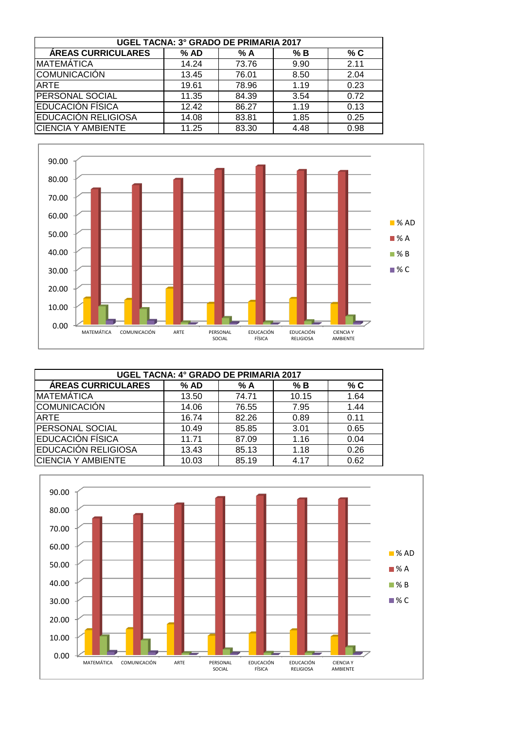| UGEL TACNA: 3° GRADO DE PRIMARIA 2017 |        |       |      |      |  |  |  |  |  |
|---------------------------------------|--------|-------|------|------|--|--|--|--|--|
| <b>ÁREAS CURRICULARES</b>             | $%$ AD | % A   | % B  | % C  |  |  |  |  |  |
| <b>MATEMÁTICA</b>                     | 14.24  | 73.76 | 9.90 | 2.11 |  |  |  |  |  |
| <b>COMUNICACIÓN</b>                   | 13.45  | 76.01 | 8.50 | 2.04 |  |  |  |  |  |
| <b>ARTE</b>                           | 19.61  | 78.96 | 1.19 | 0.23 |  |  |  |  |  |
| <b>PERSONAL SOCIAL</b>                | 11.35  | 84.39 | 3.54 | 0.72 |  |  |  |  |  |
| <b>EDUCACIÓN FÍSICA</b>               | 12.42  | 86.27 | 1.19 | 0.13 |  |  |  |  |  |
| EDUCACIÓN RELIGIOSA                   | 14.08  | 83.81 | 1.85 | 0.25 |  |  |  |  |  |
| <b>CIENCIA Y AMBIENTE</b>             | 11.25  | 83.30 | 4.48 | 0.98 |  |  |  |  |  |



| UGEL TACNA: 4° GRADO DE PRIMARIA 2017 |        |               |       |      |  |  |  |  |
|---------------------------------------|--------|---------------|-------|------|--|--|--|--|
| <b>ÁREAS CURRICULARES</b>             | $%$ AD | % A           | % B   | % C  |  |  |  |  |
| <b>MATEMATICA</b>                     | 13.50  | 74.71         | 10.15 | 1.64 |  |  |  |  |
| <b>COMUNICACIÓN</b>                   | 14.06  | 76.55<br>7.95 |       |      |  |  |  |  |
| ARTE                                  | 16.74  | 82.26         | 0.89  | 0.11 |  |  |  |  |
| <b>PERSONAL SOCIAL</b>                | 10.49  | 85.85         | 3.01  | 0.65 |  |  |  |  |
| <b>EDUCACIÓN FÍSICA</b>               | 11.71  | 87.09         | 1.16  | 0.04 |  |  |  |  |
| <b>EDUCACIÓN RELIGIOSA</b>            | 13.43  | 85.13         | 1.18  | 0.26 |  |  |  |  |
| <b>CIENCIA Y AMBIENTE</b>             | 10.03  | 85.19         | 4.17  | 0.62 |  |  |  |  |

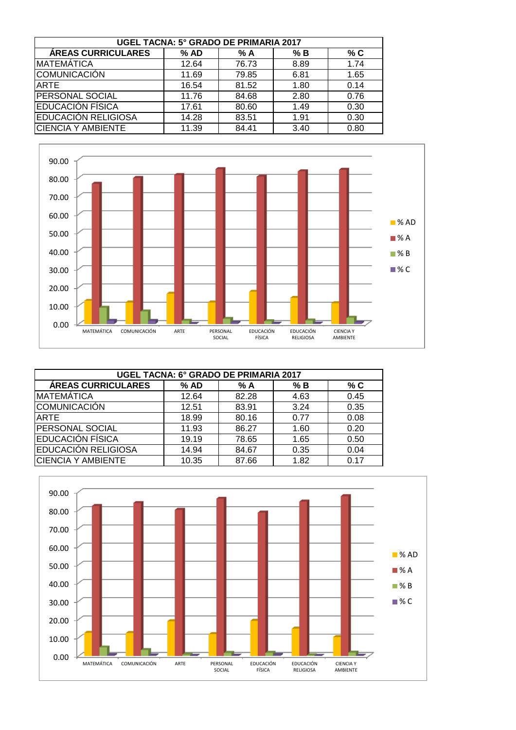| <b>UGEL TACNA: 5° GRADO DE PRIMARIA 2017</b> |        |       |      |      |  |  |  |  |  |
|----------------------------------------------|--------|-------|------|------|--|--|--|--|--|
| <b>ÁREAS CURRICULARES</b>                    | $%$ AD | % A   | % B  | % C  |  |  |  |  |  |
| <b>MATEMATICA</b>                            | 12.64  | 76.73 | 8.89 | 1.74 |  |  |  |  |  |
| <b>COMUNICACIÓN</b>                          | 11.69  | 79.85 | 6.81 | 1.65 |  |  |  |  |  |
| <b>ARTE</b>                                  | 16.54  | 81.52 | 1.80 | 0.14 |  |  |  |  |  |
| <b>PERSONAL SOCIAL</b>                       | 11.76  | 84.68 | 2.80 | 0.76 |  |  |  |  |  |
| <b>EDUCACIÓN FÍSICA</b>                      | 17.61  | 80.60 | 1.49 | 0.30 |  |  |  |  |  |
| EDUCACIÓN RELIGIOSA                          | 14.28  | 83.51 | 1.91 | 0.30 |  |  |  |  |  |
| <b>CIENCIA Y AMBIENTE</b>                    | 11.39  | 84.41 | 3.40 | 0.80 |  |  |  |  |  |



| <b>UGEL TACNA: 6° GRADO DE PRIMARIA 2017</b> |        |               |      |      |  |  |  |  |  |
|----------------------------------------------|--------|---------------|------|------|--|--|--|--|--|
| <b>ÁREAS CURRICULARES</b>                    | $%$ AD | % A           | % B  | % C  |  |  |  |  |  |
| <b>MATEMÁTICA</b>                            | 12.64  | 82.28         | 4.63 | 0.45 |  |  |  |  |  |
| <b>COMUNICACIÓN</b>                          | 12.51  | 83.91         | 3.24 | 0.35 |  |  |  |  |  |
| ARTE                                         | 18.99  | 80.16<br>0.77 |      |      |  |  |  |  |  |
| <b>PERSONAL SOCIAL</b>                       | 11.93  | 86.27         | 1.60 | 0.20 |  |  |  |  |  |
| <b>EDUCACIÓN FÍSICA</b>                      | 19.19  | 78.65         | 1.65 | 0.50 |  |  |  |  |  |
| <b>EDUCACIÓN RELIGIOSA</b>                   | 14.94  | 84.67         | 0.35 | 0.04 |  |  |  |  |  |
| <b>CIENCIA Y AMBIENTE</b>                    | 10.35  | 87.66         | 1.82 | 0.17 |  |  |  |  |  |